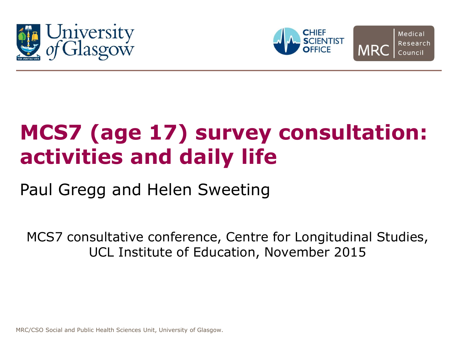





# **MCS7 (age 17) survey consultation: activities and daily life**

Paul Gregg and Helen Sweeting

MCS7 consultative conference, Centre for Longitudinal Studies, UCL Institute of Education, November 2015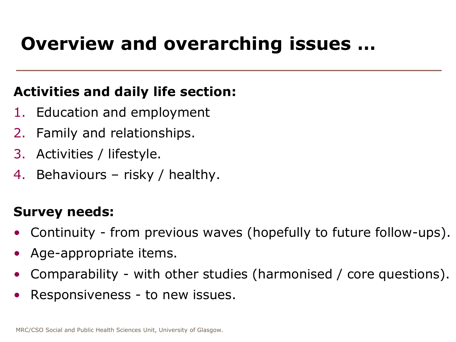# **Overview and overarching issues …**

#### **Activities and daily life section:**

- 1. Education and employment
- 2. Family and relationships.
- 3. Activities / lifestyle.
- 4. Behaviours risky / healthy.

#### **Survey needs:**

- Continuity from previous waves (hopefully to future follow-ups).
- Age-appropriate items.
- Comparability with other studies (harmonised / core questions).
- Responsiveness to new issues.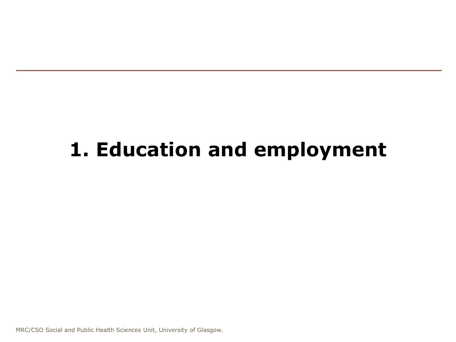## **1. Education and employment**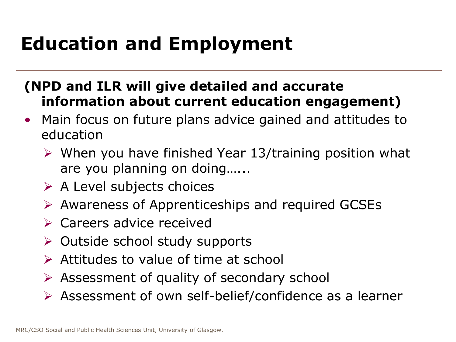# **Education and Employment**

#### **(NPD and ILR will give detailed and accurate information about current education engagement)**

- Main focus on future plans advice gained and attitudes to education
	- $\triangleright$  When you have finished Year 13/training position what are you planning on doing…...
	- $\triangleright$  A Level subjects choices
	- $\triangleright$  Awareness of Apprenticeships and required GCSEs
	- $\triangleright$  Careers advice received
	- $\triangleright$  Outside school study supports
	- $\triangleright$  Attitudes to value of time at school
	- $\triangleright$  Assessment of quality of secondary school
	- Assessment of own self-belief/confidence as a learner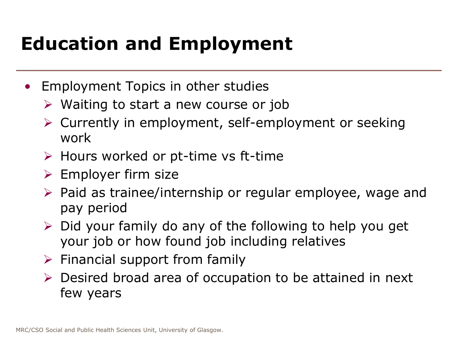# **Education and Employment**

- Employment Topics in other studies
	- $\triangleright$  Waiting to start a new course or job
	- Currently in employment, self-employment or seeking work
	- $\triangleright$  Hours worked or pt-time vs ft-time
	- $\triangleright$  Employer firm size
	- $\triangleright$  Paid as trainee/internship or regular employee, wage and pay period
	- $\triangleright$  Did your family do any of the following to help you get your job or how found job including relatives
	- $\triangleright$  Financial support from family
	- $\triangleright$  Desired broad area of occupation to be attained in next few years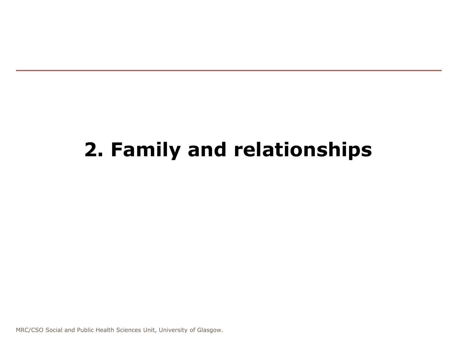# **2. Family and relationships**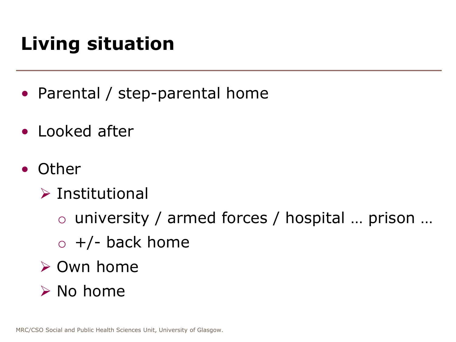# **Living situation**

- Parental / step-parental home
- Looked after
- Other
	- $\triangleright$  Institutional
		- o university / armed forces / hospital … prison …
		- $\circ$  +/- back home
	- **≻ Own home**
	- $\triangleright$  No home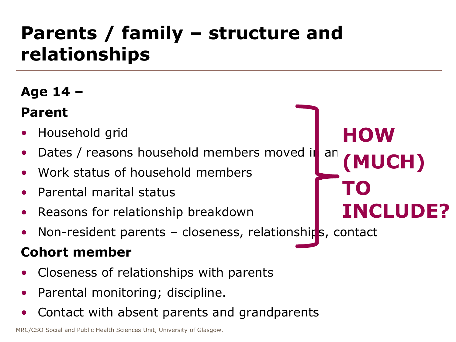### **Parents / family – structure and relationships**

#### **Age 14 –**

#### **Parent**

- Household grid
- Dates / reasons household members moved in an
- Work status of household members
- Parental marital status
- Reasons for relationship breakdown
- Non-resident parents closeness, relationships, contact

**HOW**

**TO** 

**(MUCH)**

**INCLUDE?**

#### **Cohort member**

- Closeness of relationships with parents
- Parental monitoring; discipline.
- Contact with absent parents and grandparents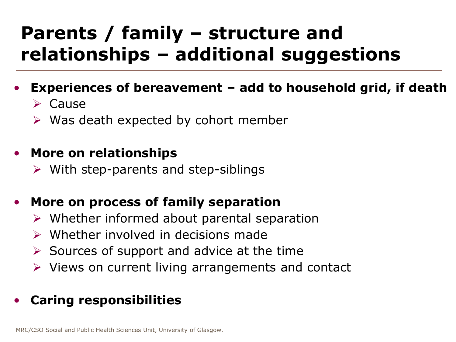### **Parents / family – structure and relationships – additional suggestions**

#### • **Experiences of bereavement – add to household grid, if death**

 $\triangleright$  Cause

 $\triangleright$  Was death expected by cohort member

#### • **More on relationships**

 $\triangleright$  With step-parents and step-siblings

#### • **More on process of family separation**

- $\triangleright$  Whether informed about parental separation
- $\triangleright$  Whether involved in decisions made
- $\triangleright$  Sources of support and advice at the time
- $\triangleright$  Views on current living arrangements and contact

#### • **Caring responsibilities**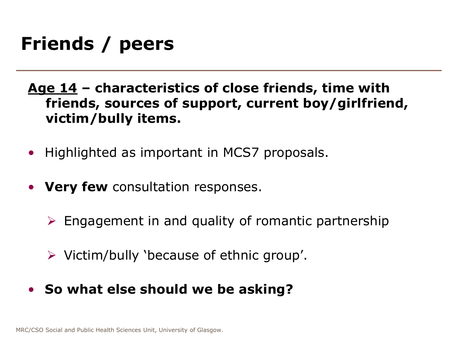### **Friends / peers**

- **Age 14 – characteristics of close friends, time with friends, sources of support, current boy/girlfriend, victim/bully items.**
- Highlighted as important in MCS7 proposals.
- **Very few** consultation responses.
	- $\triangleright$  Engagement in and quality of romantic partnership
	- $\triangleright$  Victim/bully 'because of ethnic group'.
- **So what else should we be asking?**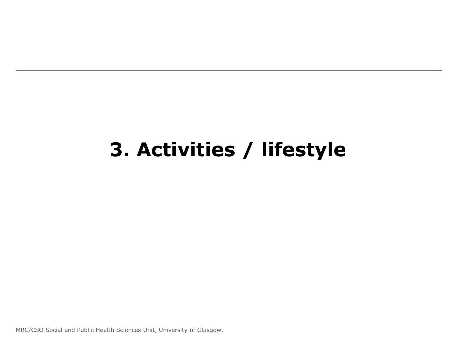### **3. Activities / lifestyle**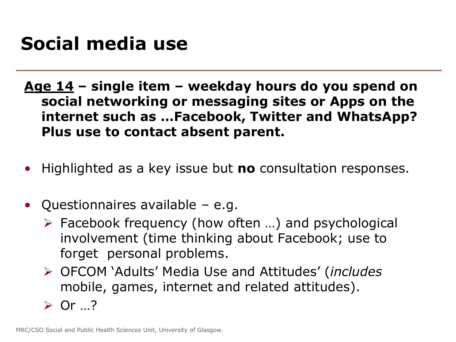### **Social media use**

**Age 14 – single item – weekday hours do you spend on social networking or messaging sites or Apps on the internet such as …Facebook, Twitter and WhatsApp? Plus use to contact absent parent.**

- Highlighted as a key issue but **no** consultation responses.
- Questionnaires available e.g.
	- $\triangleright$  Facebook frequency (how often ...) and psychological involvement (time thinking about Facebook; use to forget personal problems.
	- OFCOM 'Adults' Media Use and Attitudes' (*includes*  mobile, games, internet and related attitudes).
	- $\triangleright$  Or  $\cdot$  ?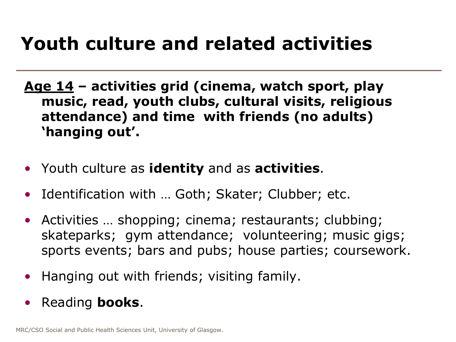### **Youth culture and related activities**

- **Age 14 – activities grid (cinema, watch sport, play music, read, youth clubs, cultural visits, religious attendance) and time with friends (no adults) 'hanging out'.**
- Youth culture as **identity** and as **activities**.
- Identification with ... Goth; Skater; Clubber; etc.
- Activities ... shopping; cinema; restaurants; clubbing; skateparks; gym attendance; volunteering; music gigs; sports events; bars and pubs; house parties; coursework.
- Hanging out with friends; visiting family.
- Reading **books**.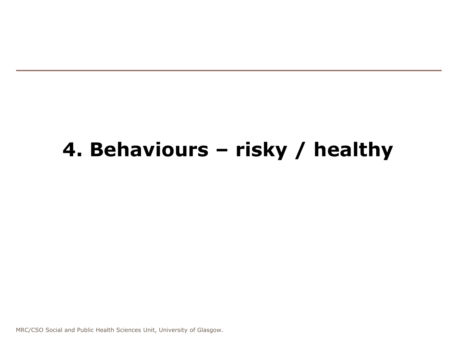### **4. Behaviours – risky / healthy**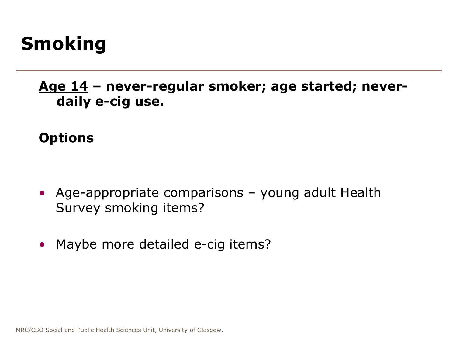### **Smoking**

**Age 14 – never-regular smoker; age started; neverdaily e-cig use.**

#### **Options**

- Age-appropriate comparisons young adult Health Survey smoking items?
- Maybe more detailed e-cig items?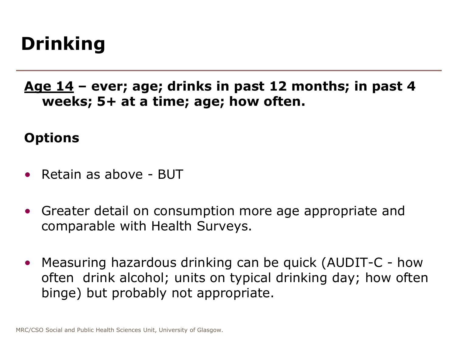# **Drinking**

**Age 14 – ever; age; drinks in past 12 months; in past 4 weeks; 5+ at a time; age; how often.**

#### **Options**

- Retain as above BUT
- Greater detail on consumption more age appropriate and comparable with Health Surveys.
- Measuring hazardous drinking can be quick (AUDIT-C how often drink alcohol; units on typical drinking day; how often binge) but probably not appropriate.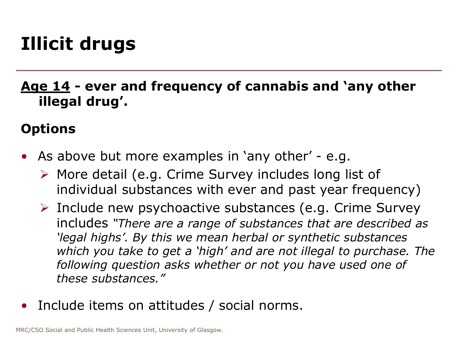# **Illicit drugs**

**Age 14 - ever and frequency of cannabis and 'any other illegal drug'.**

#### **Options**

- As above but more examples in 'any other' e.g.
	- $\triangleright$  More detail (e.g. Crime Survey includes long list of individual substances with ever and past year frequency)
	- $\triangleright$  Include new psychoactive substances (e.g. Crime Survey includes *"There are a range of substances that are described as 'legal highs'. By this we mean herbal or synthetic substances which you take to get a 'high' and are not illegal to purchase. The following question asks whether or not you have used one of these substances."*
- Include items on attitudes / social norms.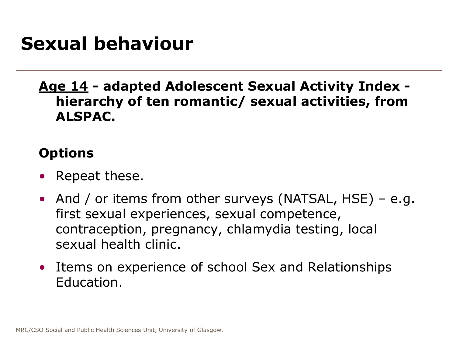#### **Sexual behaviour**

#### **Age 14 - adapted Adolescent Sexual Activity Index hierarchy of ten romantic/ sexual activities, from ALSPAC.**

#### **Options**

- Repeat these.
- And / or items from other surveys (NATSAL, HSE) e.g. first sexual experiences, sexual competence, contraception, pregnancy, chlamydia testing, local sexual health clinic.
- Items on experience of school Sex and Relationships Education.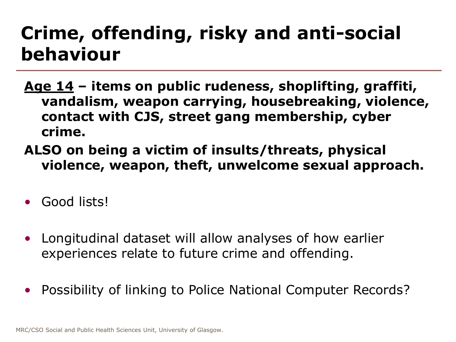### **Crime, offending, risky and anti-social behaviour**

- **Age 14 – items on public rudeness, shoplifting, graffiti, vandalism, weapon carrying, housebreaking, violence, contact with CJS, street gang membership, cyber crime.**
- **ALSO on being a victim of insults/threats, physical violence, weapon, theft, unwelcome sexual approach.**
- Good lists!
- Longitudinal dataset will allow analyses of how earlier experiences relate to future crime and offending.
- Possibility of linking to Police National Computer Records?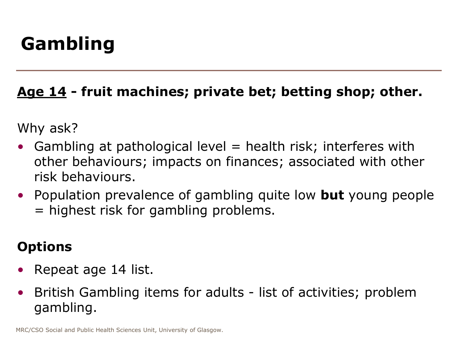# **Gambling**

#### **Age 14 - fruit machines; private bet; betting shop; other.**

Why ask?

- Gambling at pathological level  $=$  health risk; interferes with other behaviours; impacts on finances; associated with other risk behaviours.
- Population prevalence of gambling quite low **but** young people = highest risk for gambling problems.

#### **Options**

- Repeat age 14 list.
- British Gambling items for adults list of activities; problem gambling.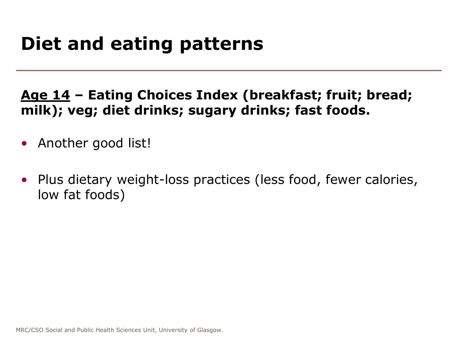### **Diet and eating patterns**

#### **Age 14 – Eating Choices Index (breakfast; fruit; bread; milk); veg; diet drinks; sugary drinks; fast foods.**

- Another good list!
- Plus dietary weight-loss practices (less food, fewer calories, low fat foods)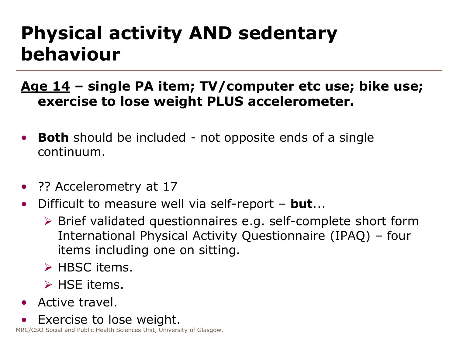### **Physical activity AND sedentary behaviour**

**Age 14 – single PA item; TV/computer etc use; bike use; exercise to lose weight PLUS accelerometer.**

- **Both** should be included not opposite ends of a single continuum.
- ?? Accelerometry at 17
- Difficult to measure well via self-report **but**...
	- Brief validated questionnaires e.g. self-complete short form International Physical Activity Questionnaire (IPAQ) – four items including one on sitting.
	- $\triangleright$  HBSC items.
	- $\triangleright$  HSE items.
- Active travel.
- Exercise to lose weight.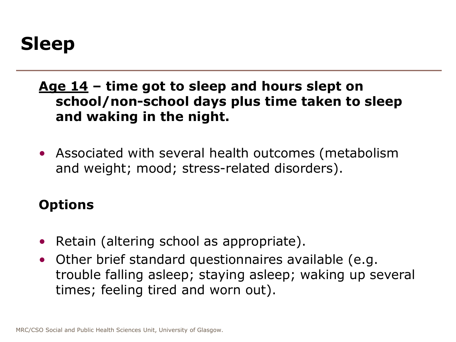#### **Age 14 – time got to sleep and hours slept on school/non-school days plus time taken to sleep and waking in the night.**

• Associated with several health outcomes (metabolism and weight; mood; stress-related disorders).

#### **Options**

- Retain (altering school as appropriate).
- Other brief standard questionnaires available (e.g. trouble falling asleep; staying asleep; waking up several times; feeling tired and worn out).